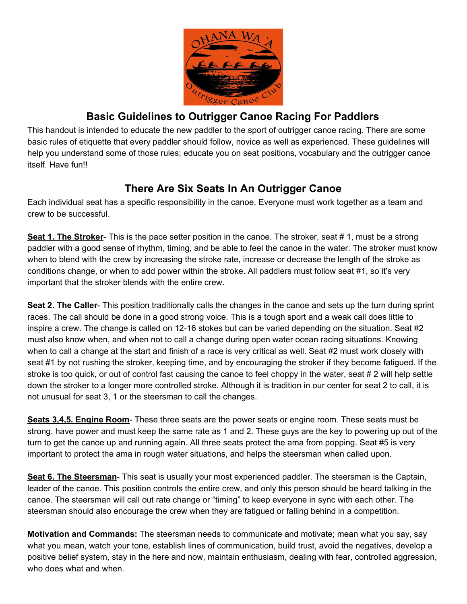

## **Basic Guidelines to Outrigger Canoe Racing For Paddlers**

This handout is intended to educate the new paddler to the sport of outrigger canoe racing. There are some basic rules of etiquette that every paddler should follow, novice as well as experienced. These guidelines will help you understand some of those rules; educate you on seat positions, vocabulary and the outrigger canoe itself. Have fun!!

# **There Are Six Seats In An Outrigger Canoe**

Each individual seat has a specific responsibility in the canoe. Everyone must work together as a team and crew to be successful.

**Seat 1. The Stroker-** This is the pace setter position in the canoe. The stroker, seat # 1, must be a strong paddler with a good sense of rhythm, timing, and be able to feel the canoe in the water. The stroker must know when to blend with the crew by increasing the stroke rate, increase or decrease the length of the stroke as conditions change, or when to add power within the stroke. All paddlers must follow seat #1, so it's very important that the stroker blends with the entire crew.

**Seat 2. The Caller**- This position traditionally calls the changes in the canoe and sets up the turn during sprint races. The call should be done in a good strong voice. This is a tough sport and a weak call does little to inspire a crew. The change is called on 12-16 stokes but can be varied depending on the situation. Seat #2 must also know when, and when not to call a change during open water ocean racing situations. Knowing when to call a change at the start and finish of a race is very critical as well. Seat #2 must work closely with seat #1 by not rushing the stroker, keeping time, and by encouraging the stroker if they become fatigued. If the stroke is too quick, or out of control fast causing the canoe to feel choppy in the water, seat # 2 will help settle down the stroker to a longer more controlled stroke. Although it is tradition in our center for seat 2 to call, it is not unusual for seat 3, 1 or the steersman to call the changes.

**Seats 3,4,5. Engine Room**- These three seats are the power seats or engine room. These seats must be strong, have power and must keep the same rate as 1 and 2. These guys are the key to powering up out of the turn to get the canoe up and running again. All three seats protect the ama from popping. Seat #5 is very important to protect the ama in rough water situations, and helps the steersman when called upon.

**Seat 6. The Steersman**- This seat is usually your most experienced paddler. The steersman is the Captain, leader of the canoe. This position controls the entire crew, and only this person should be heard talking in the canoe. The steersman will call out rate change or "timing" to keep everyone in sync with each other. The steersman should also encourage the crew when they are fatigued or falling behind in a competition.

**Motivation and Commands:** The steersman needs to communicate and motivate; mean what you say, say what you mean, watch your tone, establish lines of communication, build trust, avoid the negatives, develop a positive belief system, stay in the here and now, maintain enthusiasm, dealing with fear, controlled aggression, who does what and when.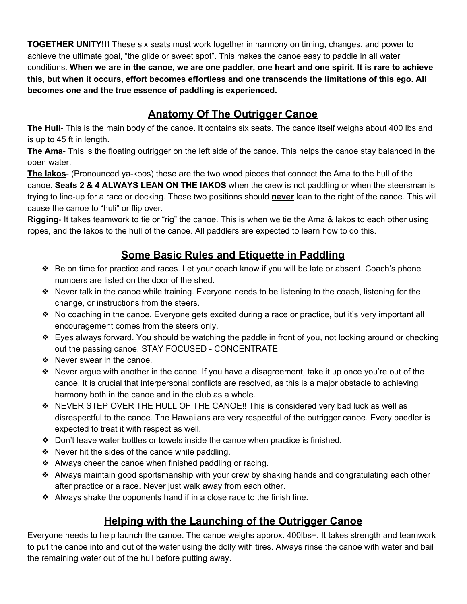**TOGETHER UNITY!!!** These six seats must work together in harmony on timing, changes, and power to achieve the ultimate goal, "the glide or sweet spot". This makes the canoe easy to paddle in all water conditions. **When we are in the canoe, we are one paddler, one heart and one spirit. It is rare to achieve this, but when it occurs, effort becomes effortless and one transcends the limitations of this ego. All becomes one and the true essence of paddling is experienced.**

# **Anatomy Of The Outrigger Canoe**

**The Hull**- This is the main body of the canoe. It contains six seats. The canoe itself weighs about 400 lbs and is up to 45 ft in length.

**The Ama**- This is the floating outrigger on the left side of the canoe. This helps the canoe stay balanced in the open water.

**The Iakos**- (Pronounced ya-koos) these are the two wood pieces that connect the Ama to the hull of the canoe. Seats 2 & 4 ALWAYS LEAN ON THE IAKOS when the crew is not paddling or when the steersman is trying to line-up for a race or docking. These two positions should **never** lean to the right of the canoe. This will cause the canoe to "huli" or flip over.

**Rigging**- It takes teamwork to tie or "rig" the canoe. This is when we tie the Ama & Iakos to each other using ropes, and the Iakos to the hull of the canoe. All paddlers are expected to learn how to do this.

# **Some Basic Rules and Etiquette in Paddling**

- ❖ Be on time for practice and races. Let your coach know if you will be late or absent. Coach's phone numbers are listed on the door of the shed.
- ❖ Never talk in the canoe while training. Everyone needs to be listening to the coach, listening for the change, or instructions from the steers.
- ❖ No coaching in the canoe. Everyone gets excited during a race or practice, but it's very important all encouragement comes from the steers only.
- ❖ Eyes always forward. You should be watching the paddle in front of you, not looking around or checking out the passing canoe. STAY FOCUSED - CONCENTRATE
- ❖ Never swear in the canoe.
- ❖ Never argue with another in the canoe. If you have a disagreement, take it up once you're out of the canoe. It is crucial that interpersonal conflicts are resolved, as this is a major obstacle to achieving harmony both in the canoe and in the club as a whole.
- ❖ NEVER STEP OVER THE HULL OF THE CANOE!! This is considered very bad luck as well as disrespectful to the canoe. The Hawaiians are very respectful of the outrigger canoe. Every paddler is expected to treat it with respect as well.
- ❖ Don't leave water bottles or towels inside the canoe when practice is finished.
- ❖ Never hit the sides of the canoe while paddling.
- ❖ Always cheer the canoe when finished paddling or racing.
- ❖ Always maintain good sportsmanship with your crew by shaking hands and congratulating each other after practice or a race. Never just walk away from each other.
- ❖ Always shake the opponents hand if in a close race to the finish line.

# **Helping with the Launching of the Outrigger Canoe**

Everyone needs to help launch the canoe. The canoe weighs approx. 400lbs+. It takes strength and teamwork to put the canoe into and out of the water using the dolly with tires. Always rinse the canoe with water and bail the remaining water out of the hull before putting away.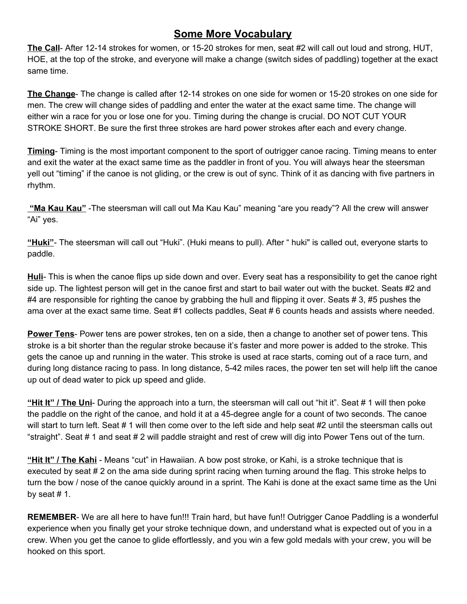#### **Some More Vocabulary**

**The Call**- After 12-14 strokes for women, or 15-20 strokes for men, seat #2 will call out loud and strong, HUT, HOE, at the top of the stroke, and everyone will make a change (switch sides of paddling) together at the exact same time.

**The Change**- The change is called after 12-14 strokes on one side for women or 15-20 strokes on one side for men. The crew will change sides of paddling and enter the water at the exact same time. The change will either win a race for you or lose one for you. Timing during the change is crucial. DO NOT CUT YOUR STROKE SHORT. Be sure the first three strokes are hard power strokes after each and every change.

**Timing**- Timing is the most important component to the sport of outrigger canoe racing. Timing means to enter and exit the water at the exact same time as the paddler in front of you. You will always hear the steersman yell out "timing" if the canoe is not gliding, or the crew is out of sync. Think of it as dancing with five partners in rhythm.

 **"Ma Kau Kau"** -The steersman will call out Ma Kau Kau" meaning "are you ready"? All the crew will answer "Ai" yes.

**"Huki"**- The steersman will call out "Huki". (Huki means to pull). After " huki" is called out, everyone starts to paddle.

**Huli**- This is when the canoe flips up side down and over. Every seat has a responsibility to get the canoe right side up. The lightest person will get in the canoe first and start to bail water out with the bucket. Seats #2 and #4 are responsible for righting the canoe by grabbing the hull and flipping it over. Seats # 3, #5 pushes the ama over at the exact same time. Seat #1 collects paddles, Seat # 6 counts heads and assists where needed.

**Power Tens**- Power tens are power strokes, ten on a side, then a change to another set of power tens. This stroke is a bit shorter than the regular stroke because it's faster and more power is added to the stroke. This gets the canoe up and running in the water. This stroke is used at race starts, coming out of a race turn, and during long distance racing to pass. In long distance, 5-42 miles races, the power ten set will help lift the canoe up out of dead water to pick up speed and glide.

**"Hit It" / The Uni**- During the approach into a turn, the steersman will call out "hit it". Seat # 1 will then poke the paddle on the right of the canoe, and hold it at a 45-degree angle for a count of two seconds. The canoe will start to turn left. Seat # 1 will then come over to the left side and help seat #2 until the steersman calls out "straight". Seat # 1 and seat # 2 will paddle straight and rest of crew will dig into Power Tens out of the turn.

**"Hit It" / The Kahi** - Means "cut" in Hawaiian. A bow post stroke, or Kahi, is a stroke technique that is executed by seat # 2 on the ama side during sprint racing when turning around the flag. This stroke helps to turn the bow / nose of the canoe quickly around in a sprint. The Kahi is done at the exact same time as the Uni by seat  $# 1$ .

**REMEMBER**- We are all here to have fun!!! Train hard, but have fun!! Outrigger Canoe Paddling is a wonderful experience when you finally get your stroke technique down, and understand what is expected out of you in a crew. When you get the canoe to glide effortlessly, and you win a few gold medals with your crew, you will be hooked on this sport.